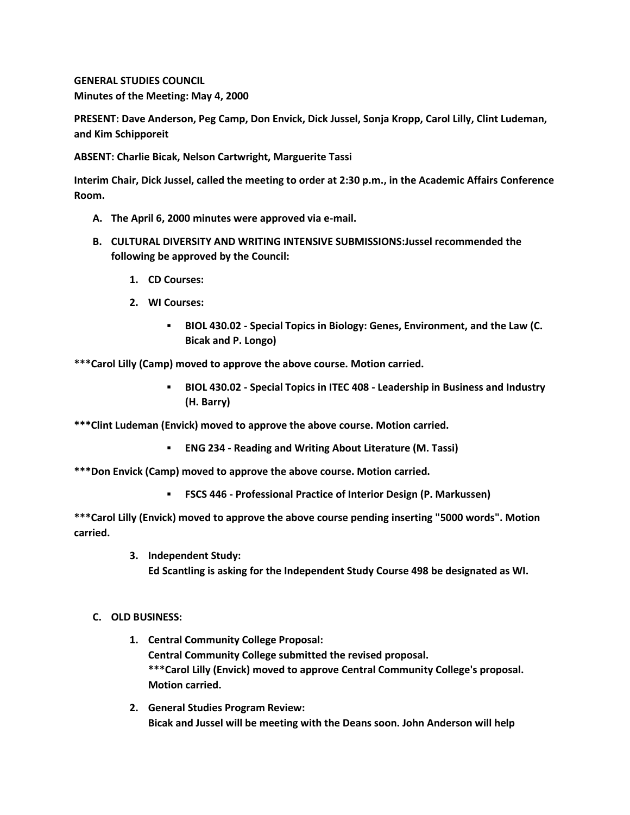**GENERAL STUDIES COUNCIL Minutes of the Meeting: May 4, 2000**

**PRESENT: Dave Anderson, Peg Camp, Don Envick, Dick Jussel, Sonja Kropp, Carol Lilly, Clint Ludeman, and Kim Schipporeit**

**ABSENT: Charlie Bicak, Nelson Cartwright, Marguerite Tassi**

**Interim Chair, Dick Jussel, called the meeting to order at 2:30 p.m., in the Academic Affairs Conference Room.**

- **A. The April 6, 2000 minutes were approved via e-mail.**
- **B. CULTURAL DIVERSITY AND WRITING INTENSIVE SUBMISSIONS:Jussel recommended the following be approved by the Council:** 
	- **1. CD Courses:**
	- **2. WI Courses:** 
		- **BIOL 430.02 - Special Topics in Biology: Genes, Environment, and the Law (C. Bicak and P. Longo)**

**\*\*\*Carol Lilly (Camp) moved to approve the above course. Motion carried.** 

 **BIOL 430.02 - Special Topics in ITEC 408 - Leadership in Business and Industry (H. Barry)**

**\*\*\*Clint Ludeman (Envick) moved to approve the above course. Motion carried.** 

**ENG 234 - Reading and Writing About Literature (M. Tassi)**

**\*\*\*Don Envick (Camp) moved to approve the above course. Motion carried.** 

**FSCS 446 - Professional Practice of Interior Design (P. Markussen)**

**\*\*\*Carol Lilly (Envick) moved to approve the above course pending inserting "5000 words". Motion carried.**

> **3. Independent Study: Ed Scantling is asking for the Independent Study Course 498 be designated as WI.**

## **C. OLD BUSINESS:**

- **1. Central Community College Proposal: Central Community College submitted the revised proposal. \*\*\*Carol Lilly (Envick) moved to approve Central Community College's proposal. Motion carried.**
- **2. General Studies Program Review: Bicak and Jussel will be meeting with the Deans soon. John Anderson will help**